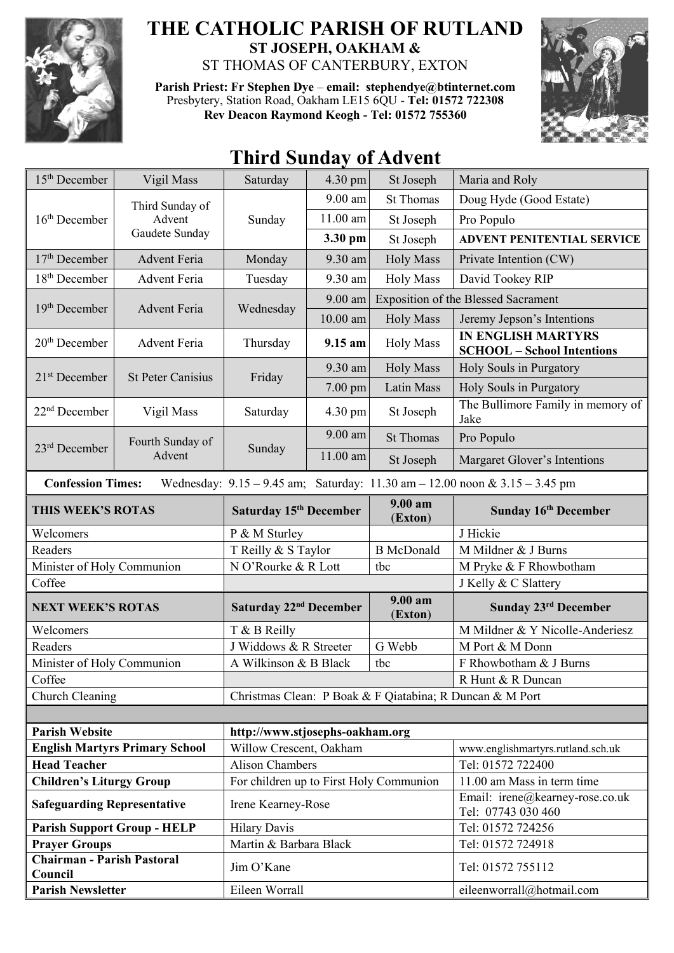

## **THE CATHOLIC PARISH OF RUTLAND ST JOSEPH, OAKHAM &**  ST THOMAS OF CANTERBURY, EXTON

**Parish Priest: Fr Stephen Dye** – **[email: stephendye@btinternet.com](mailto:email:%20%20stephendye@btinternet.com)** Presbytery, Station Road, Oakham LE15 6QU - **Tel: 01572 722308 Rev Deacon Raymond Keogh - Tel: 01572 755360**



## **Third Sunday of Advent**

| 15 <sup>th</sup> December                                                                                       | Vigil Mass                                  | Saturday                                | $4.30 \text{ pm}$ | St Joseph          | Maria and Roly                                                 |  |
|-----------------------------------------------------------------------------------------------------------------|---------------------------------------------|-----------------------------------------|-------------------|--------------------|----------------------------------------------------------------|--|
| 16 <sup>th</sup> December                                                                                       | Third Sunday of<br>Advent<br>Gaudete Sunday | Sunday                                  | $9.00$ am         | <b>St Thomas</b>   | Doug Hyde (Good Estate)                                        |  |
|                                                                                                                 |                                             |                                         | 11.00 am          | St Joseph          | Pro Populo                                                     |  |
|                                                                                                                 |                                             |                                         | 3.30 pm           | St Joseph          | <b>ADVENT PENITENTIAL SERVICE</b>                              |  |
| $17th$ December                                                                                                 | <b>Advent Feria</b>                         | Monday                                  | 9.30 am           | <b>Holy Mass</b>   | Private Intention (CW)                                         |  |
| 18 <sup>th</sup> December                                                                                       | <b>Advent Feria</b>                         | Tuesday                                 | 9.30 am           | <b>Holy Mass</b>   | David Tookey RIP                                               |  |
| 19 <sup>th</sup> December                                                                                       | <b>Advent Feria</b>                         | Wednesday                               | 9.00 am           |                    | <b>Exposition of the Blessed Sacrament</b>                     |  |
|                                                                                                                 |                                             |                                         | $10.00$ am        | <b>Holy Mass</b>   | Jeremy Jepson's Intentions                                     |  |
| $20th$ December                                                                                                 | Advent Feria                                | Thursday                                | 9.15 am           | <b>Holy Mass</b>   | <b>IN ENGLISH MARTYRS</b><br><b>SCHOOL</b> - School Intentions |  |
| 21 <sup>st</sup> December                                                                                       | <b>St Peter Canisius</b>                    | Friday                                  | 9.30 am           | <b>Holy Mass</b>   | Holy Souls in Purgatory                                        |  |
|                                                                                                                 |                                             |                                         | $7.00$ pm         | Latin Mass         | Holy Souls in Purgatory                                        |  |
| $22nd$ December                                                                                                 | Vigil Mass                                  | Saturday                                | 4.30 pm           | St Joseph          | The Bullimore Family in memory of<br>Jake                      |  |
| 23rd December                                                                                                   | Fourth Sunday of<br>Advent                  | Sunday                                  | 9.00 am           | <b>St Thomas</b>   | Pro Populo                                                     |  |
|                                                                                                                 |                                             |                                         | $11.00$ am        | St Joseph          | Margaret Glover's Intentions                                   |  |
| Wednesday: $9.15 - 9.45$ am; Saturday: $11.30$ am $- 12.00$ noon & $3.15 - 3.45$ pm<br><b>Confession Times:</b> |                                             |                                         |                   |                    |                                                                |  |
| THIS WEEK'S ROTAS                                                                                               |                                             | Saturday 15 <sup>th</sup> December      |                   | 9.00 am<br>(Exton) | Sunday 16th December                                           |  |
| Welcomers                                                                                                       |                                             | P & M Sturley                           |                   |                    | J Hickie                                                       |  |
| Readers                                                                                                         |                                             | T Reilly & S Taylor                     |                   | <b>B</b> McDonald  | M Mildner & J Burns                                            |  |
| Minister of Holy Communion                                                                                      |                                             | N O'Rourke & R Lott<br>tbc              |                   |                    | M Pryke & F Rhowbotham                                         |  |
| Coffee                                                                                                          |                                             |                                         |                   |                    | J Kelly & C Slattery                                           |  |
| <b>NEXT WEEK'S ROTAS</b>                                                                                        |                                             | Saturday 22 <sup>nd</sup> December      |                   | 9.00 am<br>(Exton) | Sunday 23rd December                                           |  |
| Welcomers                                                                                                       |                                             | T & B Reilly                            |                   |                    | M Mildner & Y Nicolle-Anderiesz                                |  |
| Readers                                                                                                         |                                             | J Widdows & R Streeter                  |                   | G Webb             | M Port & M Donn                                                |  |
| Minister of Holy Communion                                                                                      |                                             | A Wilkinson & B Black                   |                   | tbc                | F Rhowbotham & J Burns                                         |  |
| Coffee                                                                                                          |                                             |                                         |                   |                    | R Hunt & R Duncan                                              |  |
| Church Cleaning<br>Christmas Clean: P Boak & F Qiatabina; R Duncan & M Port                                     |                                             |                                         |                   |                    |                                                                |  |
|                                                                                                                 |                                             |                                         |                   |                    |                                                                |  |
| <b>Parish Website</b>                                                                                           |                                             | http://www.stjosephs-oakham.org         |                   |                    |                                                                |  |
| <b>English Martyrs Primary School</b>                                                                           |                                             | Willow Crescent, Oakham                 |                   |                    | www.englishmartyrs.rutland.sch.uk                              |  |
| <b>Head Teacher</b>                                                                                             |                                             | <b>Alison Chambers</b>                  |                   |                    | Tel: 01572 722400<br>11.00 am Mass in term time                |  |
| <b>Children's Liturgy Group</b>                                                                                 |                                             | For children up to First Holy Communion |                   |                    | Email: irene@kearney-rose.co.uk                                |  |
| <b>Safeguarding Representative</b>                                                                              |                                             | Irene Kearney-Rose                      |                   |                    | Tel: 07743 030 460                                             |  |
| <b>Parish Support Group - HELP</b>                                                                              |                                             | <b>Hilary Davis</b>                     |                   |                    | Tel: 01572 724256                                              |  |
| <b>Prayer Groups</b><br><b>Chairman - Parish Pastoral</b>                                                       |                                             | Martin & Barbara Black                  |                   |                    | Tel: 01572 724918                                              |  |
| Council                                                                                                         |                                             | Jim O'Kane                              |                   |                    | Tel: 01572 755112                                              |  |
| <b>Parish Newsletter</b>                                                                                        |                                             | Eileen Worrall                          |                   |                    | eileenworrall@hotmail.com                                      |  |